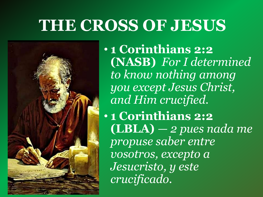### **THE CROSS OF JESUS**



• **1 Corinthians 2:2 (NASB)** *For I determined to know nothing among you except Jesus Christ, and Him crucified.*

• **1 Corinthians 2:2 (LBLA)** *— 2 pues nada me propuse saber entre vosotros, excepto a Jesucristo, y este crucificado.*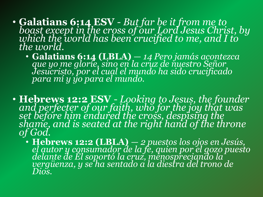- **Galatians 6:14 ESV**  *But far be it from me to boast except in the cross of our Lord Jesus Christ, by which the world has been crucified to me, and I to the world.*
	- **Galatians 6:14 (LBLA)** *14 Pero jamás acontezca que yo me gloríe, sino en la cruz de nuestro Señor Jesucristo, por el cual el mundo ha sido crucificado para mí y yo para el mundo.*
- **Hebrews 12:2 ESV**  *Looking to Jesus, the founder and perfecter of our faith, who for the joy that was set before him endured the cross, despising the shame, and is seated at the right hand of the throne of God.*
	- **Hebrews 12:2 (LBLA)**  *2 puestos los ojos en Jesús, el autor y consumador de la fe, quien por el gozo puesto delante de Él soportó la cruz, menospreciando la vergüenza, y se ha sentado a la diestra del trono de Dios.*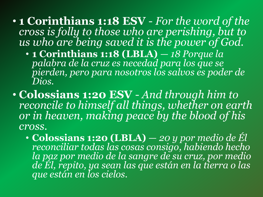- **1 Corinthians 1:18 ESV**  *For the word of the cross is folly to those who are perishing, but to us who are being saved it is the power of God.*
	- **1 Corinthians 1:18 (LBLA)**  *18 Porque la palabra de la cruz es necedad para los que se pierden, pero para nosotros los salvos es poder de Dios.*
- **Colossians 1:20 ESV**  *And through him to reconcile to himself all things, whether on earth or in heaven, making peace by the blood of his cross.*
	- **Colossians 1:20 (LBLA)**  *20 y por medio de Él reconciliar todas las cosas consigo, habiendo hecho la paz por medio de la sangre de su cruz, por medio de Él, repito, ya sean las que están en la tierra o las que están en los cielos.*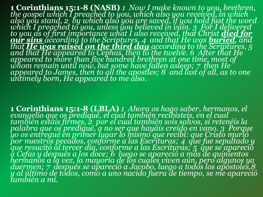**1 Corinthians 15:1-8 (NASB)** *1 Now I make known to you, brethren, the gospel which I preached to you, which also you received, in which also you stand, 2 by which also you are saved, if you hold fast the word which I preached to you, unless you believed in vain. 3 For I delivered to you as of first importance what I also received, that Christ died for our sins according to the Scriptures, 4 and that He was buried, and that He was raised on the third day according to the Scriptures, 5 and that He appeared to Cephas, then to the twelve. 6 After that He appeared to more than five hundred brethren at one time, most of whom remain until now, but some have fallen asleep; 7 then He appeared to James, then to all the apostles; 8 and last of all, as to one untimely born, He appeared to me also.*

**1 Corinthians 15:1-8 (LBLA)** *1 Ahora os hago saber, hermanos, el evangelio que os prediqué, el cual también recibisteis, en el cual también estáis firmes, 2 por el cual también sois salvos, si retenéis la palabra que os prediqué, a no ser que hayáis creído en vano. 3 Porque yo os entregué en primer lugar lo mismo que recibí: que Cristo murió por nuestros pecados, conforme a las Escrituras; 4 que fue sepultado y que resucitó al tercer día, conforme a las Escrituras; 5 que se apareció a Cefas y después a los doce; 6 luego se apareció a más de quinientos hermanos a la vez, la mayoría de los cuales viven aún, pero algunos ya duermen; 7 después se apareció a Jacobo, luego a todos los apóstoles,8 y al último de todos, como a uno nacido fuera de tiempo, se me apareció también a mí.*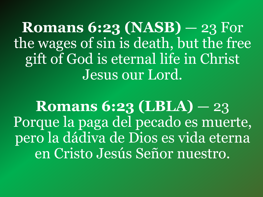**Romans 6:23 (NASB)** — 23 For the wages of sin is death, but the free gift of God is eternal life in Christ Jesus our Lord.

**Romans 6:23 (LBLA)** — 23 Porque la paga del pecado es muerte, pero la dádiva de Dios es vida eterna en Cristo Jesús Señor nuestro.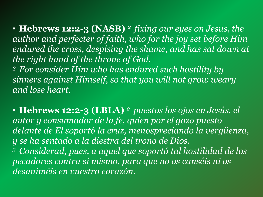• **Hebrews 12:2-3 (NASB)** *<sup>2</sup>fixing our eyes on Jesus, the author and perfecter of faith, who for the joy set before Him endured the cross, despising the shame, and has sat down at the right hand of the throne of God.* 

*<sup>3</sup>For consider Him who has endured such hostility by sinners against Himself, so that you will not grow weary and lose heart.* 

• **Hebrews 12:2-3 (LBLA)** *<sup>2</sup>puestos los ojos en Jesús, el autor y consumador de la fe, quien por el gozo puesto delante de El soportó la cruz, menospreciando la vergüenza, y se ha sentado a la diestra del trono de Dios. <sup>3</sup>Considerad, pues, a aquel que soportó tal hostilidad de los pecadores contra sí mismo, para que no os canséis ni os desaniméis en vuestro corazón.*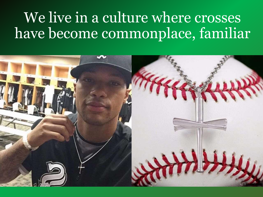#### We live in a culture where crosses have become commonplace, familiar

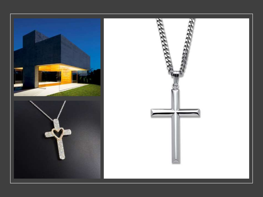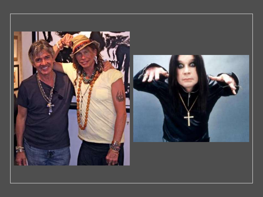

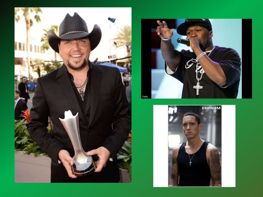



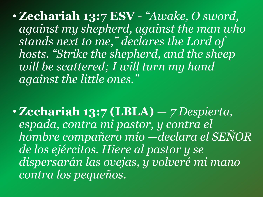• **Zechariah 13:7 ESV** - *"Awake, O sword, against my shepherd, against the man who stands next to me," declares the Lord of hosts. "Strike the shepherd, and the sheep will be scattered; I will turn my hand against the little ones."*

• **Zechariah 13:7 (LBLA)** — *7 Despierta, espada, contra mi pastor, y contra el hombre compañero mío —declara el SEÑOR de los ejércitos. Hiere al pastor y se dispersarán las ovejas, y volveré mi mano contra los pequeños.*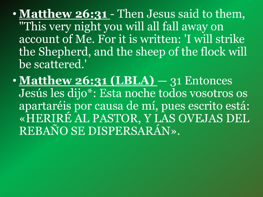- **Matthew 26:31**  Then Jesus said to them, "This very night you will all fall away on account of Me. For it is written: 'I will strike the Shepherd, and the sheep of the flock will be scattered.'
- **Matthew 26:31 (LBLA)** 31 Entonces Jesús les dijo\*: Esta noche todos vosotros os apartaréis por causa de mí, pues escrito está: «HERIRÉ AL PASTOR, Y LAS OVEJAS DEL REBAÑO SE DISPERSARÁN».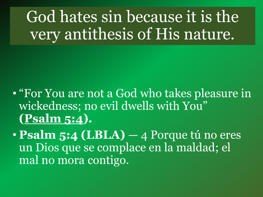God hates sin because it is the very antithesis of His nature.

- "For You are not a God who takes pleasure in wickedness; no evil dwells with You" **(Psalm 5:4).**
- **Psalm 5:4 (LBLA)**  4 Porque tú no eres un Dios que se complace en la maldad; el mal no mora contigo.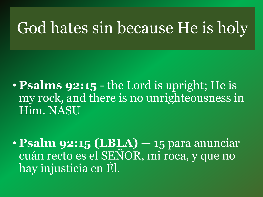## God hates sin because He is holy

• **Psalms 92:15** - the Lord is upright; He is my rock, and there is no unrighteousness in Him. NASU

• **Psalm 92:15 (LBLA)** — 15 para anunciar cuán recto es el SEÑOR, mi roca, y que no hay injusticia en Él.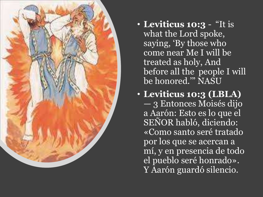

- **Leviticus 10:3**  "It is what the Lord spoke, saying, 'By those who come near Me I will be treated as holy, And before all the people I will be honored.'" NASU
- **Leviticus 10:3 (LBLA)** — 3 Entonces Moisés dijo a Aarón: Esto es lo que el SEÑOR habló, diciendo: «Como santo seré tratado por los que se acercan a mí, y en presencia de todo el pueblo seré honrado». Y Aarón guardó silencio.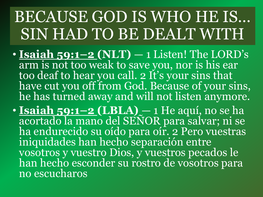# BECAUSE GOD IS WHO HE IS… SIN HAD TO BE DEALT WITH

- **Isaiah 59:1–2 (NLT)**  1 Listen! The LORD's arm is not too weak to save you, nor is his ear too deaf to hear you call. 2 It's your sins that have cut you off from God. Because of your sins, he has turned away and will not listen anymore.
- **Isaiah 59:1–2 (LBLA)**  1 He aquí, no se ha acortado la mano del SEÑOR para salvar; ni se ha endurecido su oído para oír. 2 Pero vuestras iniquidades han hecho separación entre vosotros y vuestro Dios, y vuestros pecados le han hecho esconder su rostro de vosotros para no escucharos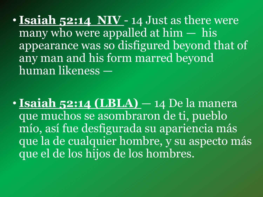• **Isaiah 52:14 NIV** - 14 Just as there were many who were appalled at him — his appearance was so disfigured beyond that of any man and his form marred beyond human likeness —

• **Isaiah 52:14 (LBLA)** — 14 De la manera que muchos se asombraron de ti, pueblo mío, así fue desfigurada su apariencia más que la de cualquier hombre, y su aspecto más que el de los hijos de los hombres.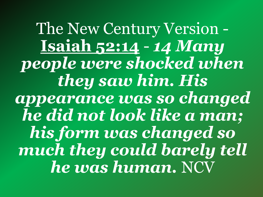The New Century Version - **Isaiah 52:14** - *14 Many people were shocked when they saw him. His appearance was so changed he did not look like a man; his form was changed so much they could barely tell he was human.* NCV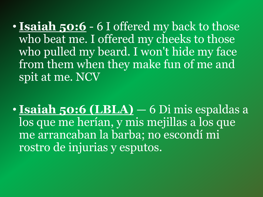• **Isaiah 50:6** - 6 I offered my back to those who beat me. I offered my cheeks to those who pulled my beard. I won't hide my face from them when they make fun of me and spit at me. NCV

• **Isaiah 50:6 (LBLA)** — 6 Di mis espaldas a los que me herían, y mis mejillas a los que me arrancaban la barba; no escondí mi rostro de injurias y esputos.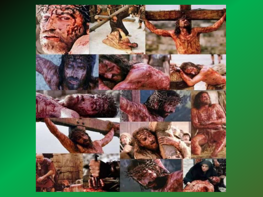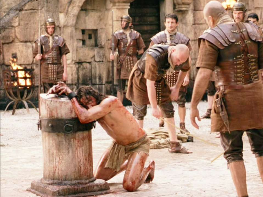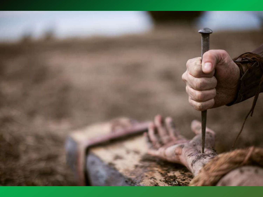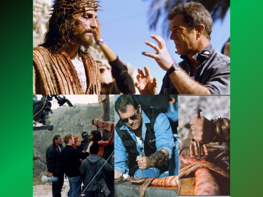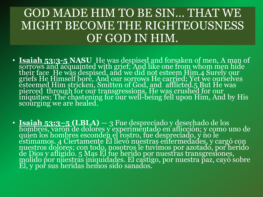#### GOD MADE HIM TO BE SIN… THAT WE MIGHT BECOME THE RIGHTEOUSNESS OF GOD IN HIM.

- **Isaiah 53:3-5 NASU** He was despised and forsaken of men, A man of sorrows and acquainted with grief; And like one from whom men hide their face He was despised, and we did not esteem Him.4 Surely our griefs He Himself bore, And our sorrows He carried; Yet we ourselves esteemed Him stricken, Smitten of God, and afflicted.5 But He was pierced through for our transgressions, He was crushed for our iniquities; The chastening for our well-being fell upon Him, And by His  $\,$  ${\rm scourging}$  we are healed.
- **Isaiah 53:3–5 (LBLA)**  3 Fue despreciado y desechado de los hombres, varón de dolores y experimentado en aflicción; y como uno de quien los hombres esconden el rostro, fue despreciado, y no le estimamos. 4 Ciertamente Él llevó nuestras enfermedades, y cargó con nuestros dolores; con todo, nosotros le tuvimos por azotado, por herido de Dios y afligido. 5 Mas Él fue herido por nuestras transgresiones, molido por nuestras iniquidades. El castigo, por nuestra paz, cayó sobre<br>Él, y por sus heridas hemos sido sanados.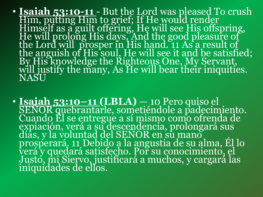- **Isaiah 53:10-11**  But the Lord was pleased To crush Him, putting Him to grief; If He would render Himself as a guilt offering, He will see His offspring, He will prolong His days, And the good pleasure of the Lord will prosper in His hand. 11 As a result of the anguish of His soul, He will see it and be satisfied; By His knowledge the Righteous One, My Servant, will justify the many, As He will bear their iniquities. NASU
- **Isaiah 53:10–11 (LBLA)** 10 Pero quiso el SEÑOR quebrantarle, sometiéndole a padecimiento. Cuando Él se entregue a sí mismo como ofrenda de expiación, verá a su descendencia, prolongará sus días, y la voluntad del SEÑOR en su mano prosperará. 11 Debido a la angustia de su alma, Él lo verá y quedará satisfecho. Por su conocimiento, el Justo, mi Siervo, justificará a muchos, y cargará las iniquidades de ellos.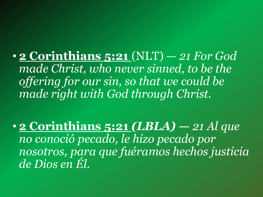• **2 Corinthians 5:21** (NLT) — *21 For God made Christ, who never sinned, to be the offering for our sin, so that we could be made right with God through Christ.*

• **2 Corinthians 5:21** *(LBLA) — 21 Al que no conoció pecado, le hizo pecado por nosotros, para que fuéramos hechos justicia de Dios en Él.*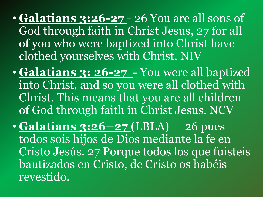- **Galatians 3:26-27**  26 You are all sons of God through faith in Christ Jesus, 27 for all of you who were baptized into Christ have clothed yourselves with Christ. NIV
- **Galatians 3: 26-27**  You were all baptized into Christ, and so you were all clothed with Christ. This means that you are all children of God through faith in Christ Jesus. NCV
- **Galatians 3:26–27** (LBLA) 26 pues todos sois hijos de Dios mediante la fe en Cristo Jesús. 27 Porque todos los que fuisteis bautizados en Cristo, de Cristo os habéis revestido.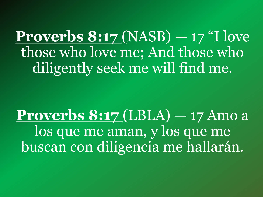**Proverbs 8:17** (NASB) — 17 "I love those who love me; And those who diligently seek me will find me.

**Proverbs 8:17** (LBLA) — 17 Amo a los que me aman, y los que me buscan con diligencia me hallarán.